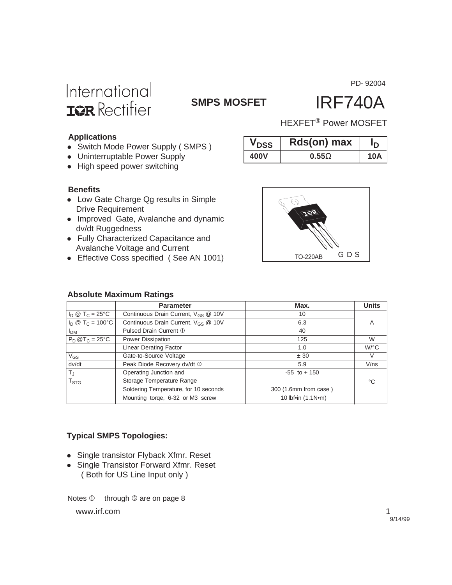PD- 92004



# **SMPS MOSFET** IRF740A

### **Applications**

- Switch Mode Power Supply (SMPS)
- Uninterruptable Power Supply
- $\bullet$  High speed power switching

| <b>VDSS</b> | Rasjon) max  | חי         |
|-------------|--------------|------------|
| 400V        | $0.55\Omega$ | <b>10A</b> |
|             |              |            |

 $V$  **D**  $\theta$ s(an) may  $I$ 

HEXFET® Power MOSFET

#### **Benefits**

- Low Gate Charge Qg results in Simple Drive Requirement
- Improved Gate, Avalanche and dynamic dv/dt Ruggedness
- Fully Characterized Capacitance and Avalanche Voltage and Current
- Effective Coss specified ( See AN 1001)



### **Absolute Maximum Ratings**

|                                      | <b>Parameter</b>                                | Max.                  | <b>Units</b>         |
|--------------------------------------|-------------------------------------------------|-----------------------|----------------------|
| $I_D \otimes T_C = 25$ °C            | Continuous Drain Current, V <sub>GS</sub> @ 10V | 10                    |                      |
| $I_D \otimes T_C = 100^{\circ}C$     | Continuous Drain Current, V <sub>GS</sub> @ 10V | 6.3                   | A                    |
| I <sub>DM</sub>                      | Pulsed Drain Current 1                          | 40                    |                      |
| $P_D @T_C = 25°C$                    | Power Dissipation                               | 125                   | W                    |
|                                      | <b>Linear Derating Factor</b>                   | 1.0                   | $W$ <sup>o</sup> $C$ |
| $\overline{V_{GS}}$                  | Gate-to-Source Voltage                          | ± 30                  | V                    |
| dv/dt                                | Peak Diode Recovery dv/dt 3                     | 5.9                   | V/ns                 |
| $\overline{\mathsf{T}_{\mathsf{J}}}$ | Operating Junction and                          | $-55$ to $+150$       |                      |
| $\mathsf{T}_{\text{STG}}$            | Storage Temperature Range                       |                       | °C                   |
|                                      | Soldering Temperature, for 10 seconds           | 300 (1.6mm from case) |                      |
|                                      | Mounting torge, 6-32 or M3 screw                | 10 lbf•in (1.1N•m)    |                      |

### **Typical SMPS Topologies:**

- Single transistor Flyback Xfmr. Reset
- Single Transistor Forward Xfmr. Reset ( Both for US Line Input only )

www.irf.com 1 Notes  $\mathbb O$  through  $\mathbb S$  are on page 8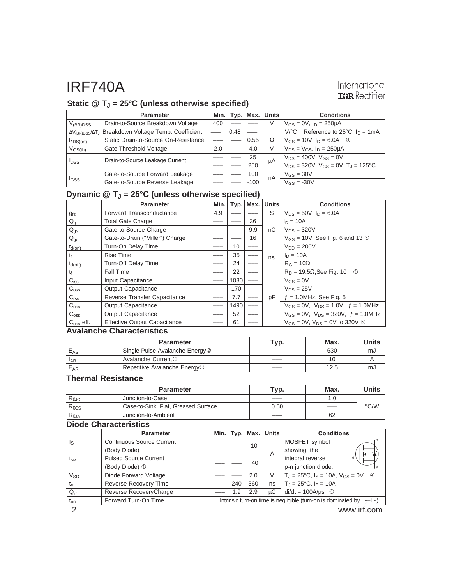### International **IGR** Rectifier

### **Static @ TJ = 25°C (unless otherwise specified)**

|                         | <b>Parameter</b>                                                           | Min. l | Tvp. | Max.   | <b>Units</b> | <b>Conditions</b>                                        |
|-------------------------|----------------------------------------------------------------------------|--------|------|--------|--------------|----------------------------------------------------------|
| $V_{(BR)DSS}$           | Drain-to-Source Breakdown Voltage                                          | 400    |      |        | V            | $V_{GS} = 0V$ , $I_D = 250 \mu A$                        |
|                         | ∆V <sub>(BR)DSS</sub> /∆T <sub>J</sub> Breakdown Voltage Temp. Coefficient |        | 0.48 |        |              | Reference to 25 $^{\circ}$ C, $I_D = 1$ mA<br>$V$ /°C    |
| $R_{DS(on)}$            | Static Drain-to-Source On-Resistance                                       |        |      | 0.55   | Ω            | $V_{GS} = 10V$ , $I_D = 6.0A$ 4                          |
| $V_{GS(th)}$            | Gate Threshold Voltage                                                     | 2.0    |      | 4.0    | V            | $V_{DS} = V_{GS}$ , $I_D = 250 \mu A$                    |
| <b>I</b> <sub>DSS</sub> | Drain-to-Source Leakage Current                                            |        |      | 25     | μA           | $V_{DS} = 400V$ , $V_{GS} = 0V$                          |
|                         |                                                                            |        |      | 250    |              | $V_{DS} = 320V$ , $V_{GS} = 0V$ , $T_{J} = 125^{\circ}C$ |
| <b>I</b> GSS            | Gate-to-Source Forward Leakage                                             |        |      | 100    | nA           | $V_{GS} = 30V$                                           |
|                         | Gate-to-Source Reverse Leakage                                             |        |      | $-100$ |              | $V_{GS} = -30V$                                          |

### **Dynamic @ TJ = 25°C (unless otherwise specified)**

|                           | <b>Parameter</b>                    | Min. | Typ. | Max. | <b>Units</b> | <b>Conditions</b>                                  |
|---------------------------|-------------------------------------|------|------|------|--------------|----------------------------------------------------|
| $g_{fs}$                  | Forward Transconductance            | 4.9  |      |      | S            | $V_{DS} = 50V$ , $I_D = 6.0A$                      |
| $\mathsf{Q}_{\mathsf{g}}$ | <b>Total Gate Charge</b>            |      |      | 36   |              | $I_D = 10A$                                        |
| $Q_{gs}$                  | Gate-to-Source Charge               |      |      | 9.9  | nC           | $V_{DS} = 320V$                                    |
| $Q_{gd}$                  | Gate-to-Drain ("Miller") Charge     |      |      | 16   |              | $V_{GS}$ = 10V, See Fig. 6 and 13 $\circledcirc$   |
| $t_{d(on)}$               | Turn-On Delay Time                  |      | 10   |      |              | $V_{DD} = 200V$                                    |
| $t_{r}$                   | <b>Rise Time</b>                    |      | 35   |      | ns           | $I_D = 10A$                                        |
| $t_{d(off)}$              | Turn-Off Delay Time                 |      | 24   |      |              | $R_G = 10\Omega$                                   |
| t                         | <b>Fall Time</b>                    |      | 22   |      |              | $R_D = 19.5\Omega$ , See Fig. 10<br>$\circledcirc$ |
| $C_{iss}$                 | Input Capacitance                   |      | 1030 |      |              | $V_{GS} = 0V$                                      |
| C <sub>oss</sub>          | Output Capacitance                  |      | 170  |      |              | $V_{DS} = 25V$                                     |
| C <sub>rss</sub>          | Reverse Transfer Capacitance        |      | 7.7  |      | pF           | $f = 1.0$ MHz, See Fig. 5                          |
| $C_{\rm oss}$             | <b>Output Capacitance</b>           |      | 1490 |      |              | $V_{GS} = 0V$ , $V_{DS} = 1.0V$ , $f = 1.0MHz$     |
| C <sub>oss</sub>          | Output Capacitance                  |      | 52   |      |              | $V_{GS} = 0V$ , $V_{DS} = 320V$ , $f = 1.0 MHz$    |
| $C_{\rm oss}$ eff.        | <b>Effective Output Capacitance</b> |      | 61   |      |              | $V_{GS} = 0V$ , $V_{DS} = 0V$ to 320V <b>©</b>     |

#### **Avalanche Characteristics**

|          | <b>Parameter</b>                           | Typ. | Max. | <b>Units</b> |
|----------|--------------------------------------------|------|------|--------------|
| EAS      | Single Pulse Avalanche Energy <sup>2</sup> |      | 630  | mJ           |
| $I_{AR}$ | Avalanche Current <sup>1</sup>             |      | 10   |              |
| $E_{AR}$ | Repetitive Avalanche Energy <sup>1</sup>   |      | 12.5 | mJ           |

#### **Thermal Resistance**

|                 | <b>Parameter</b>                    | Typ. | Max. | <b>Units</b>       |
|-----------------|-------------------------------------|------|------|--------------------|
| $R_{\theta$ JC  | Junction-to-Case                    |      |      |                    |
| $R_{\theta}$ CS | Case-to-Sink, Flat, Greased Surface | 0.50 |      | $\rm ^{\circ}$ C/W |
| $R_{\theta$ JA  | Junction-to-Ambient                 |      | 62   |                    |

### **Diode Characteristics**

|                 | <b>Parameter</b>                 | Min.                                                                      |     | $Typ.$ Max. | <b>Units</b> | <b>Conditions</b>                                                       |
|-----------------|----------------------------------|---------------------------------------------------------------------------|-----|-------------|--------------|-------------------------------------------------------------------------|
| ls              | <b>Continuous Source Current</b> |                                                                           |     | 10          |              | MOSFET symbol                                                           |
|                 | (Body Diode)                     |                                                                           |     |             | Α            | showing the                                                             |
| $I_{SM}$        | <b>Pulsed Source Current</b>     |                                                                           |     | 40          |              | integral reverse<br>G                                                   |
|                 | (Body Diode) 1                   |                                                                           |     |             |              | p-n junction diode.                                                     |
| V <sub>SD</sub> | Diode Forward Voltage            |                                                                           |     | 2.0         | V            | $T_{\rm J}$ = 25°C, $I_{\rm S}$ = 10A, $V_{\rm GS}$ = 0V<br>$\circledA$ |
| $t_{rr}$        | <b>Reverse Recovery Time</b>     |                                                                           | 240 | 360         | ns           | $T_{\rm J} = 25^{\circ}$ C, $I_F = 10A$                                 |
| $Q_{rr}$        | Reverse RecoveryCharge           |                                                                           | 1.9 | 2.9         | иC           | $di/dt = 100A/\mu s$ 4                                                  |
| $t_{on}$        | Forward Turn-On Time             | Intrinsic turn-on time is negligible (turn-on is dominated by $L_S+L_D$ ) |     |             |              |                                                                         |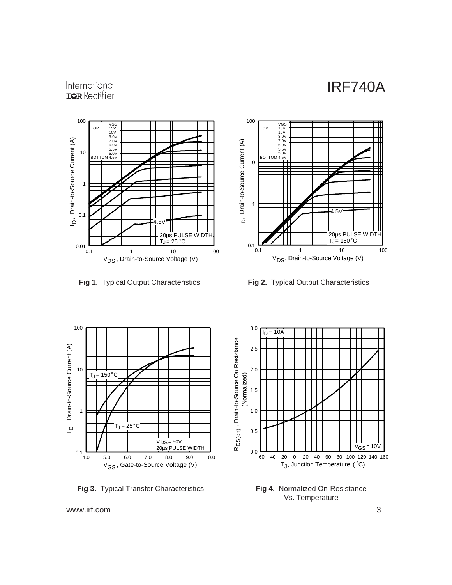### International **IGR** Rectifier





**Fig 1.** Typical Output Characteristics **Fig 2.** Typical Output Characteristics



**Fig 3.** Typical Transfer Characteristics



**Fig 4.** Normalized On-Resistance Vs. Temperature

www.irf.com 3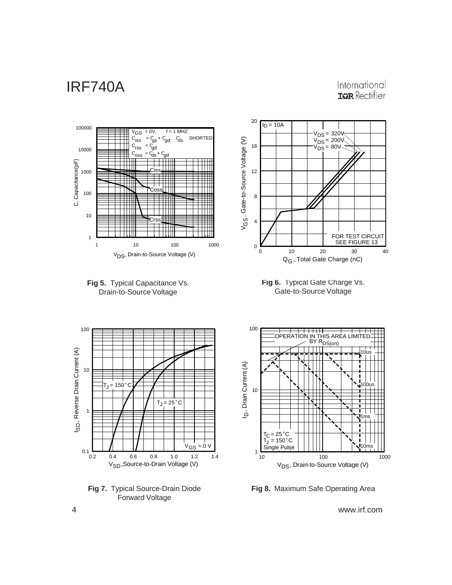### International **IGR** Rectifier



V<sub>DS</sub>, Drain-to-Source Voltage (V)

**Fig 8.** Maximum Safe Operating Area

4 www.irf.com

**Fig 7.** Typical Source-Drain Diode Forward Voltage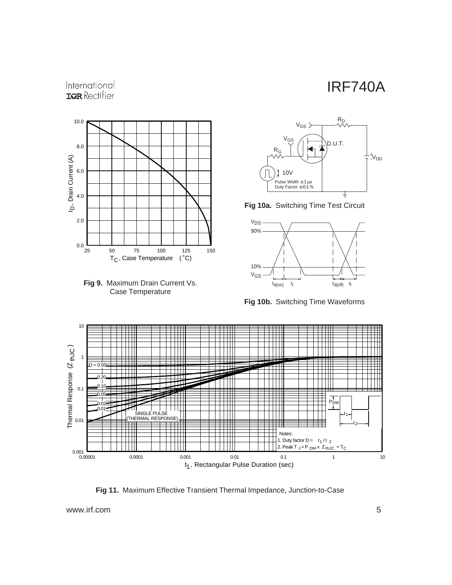### International **IGR** Rectifier







**Fig 10a.** Switching Time Test Circuit



**Fig 10b.** Switching Time Waveforms



**Fig 11.** Maximum Effective Transient Thermal Impedance, Junction-to-Case

www.irf.com 5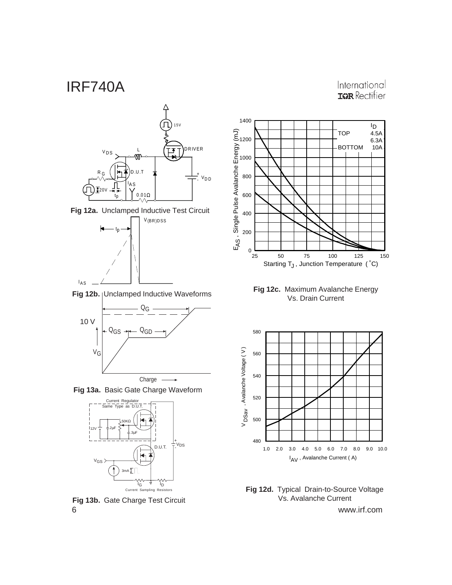





Fig 12b. | Unclamped Inductive Waveforms



**Fig 13a.** Basic Gate Charge Waveform



6 www.irf.com **Fig 13b.** Gate Charge Test Circuit



**Fig 12c.** Maximum Avalanche Energy<br>Vs. Drain Current



**Fig 12d.** Typical Drain-to-Source Voltage Vs. Avalanche Current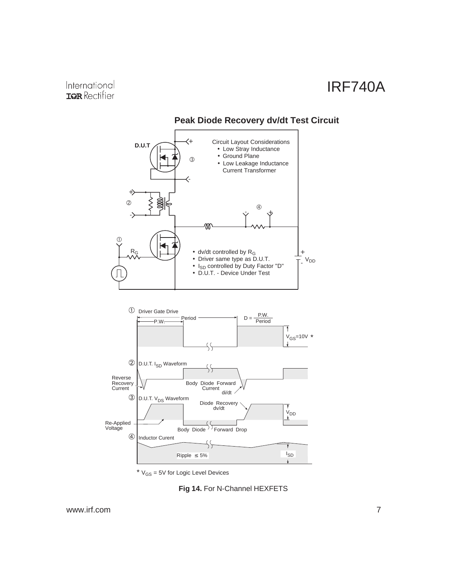

### **Peak Diode Recovery dv/dt Test Circuit**

 $*$   $V_{GS}$  = 5V for Logic Level Devices

**Fig 14.** For N-Channel HEXFETS

www.irf.com 7